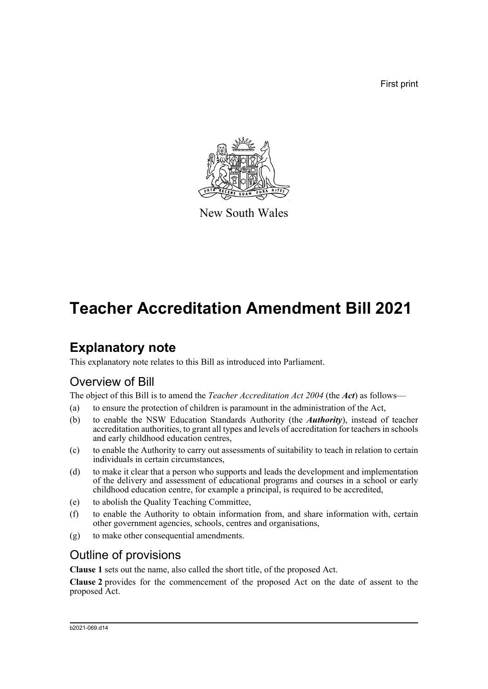First print



New South Wales

# **Teacher Accreditation Amendment Bill 2021**

# **Explanatory note**

This explanatory note relates to this Bill as introduced into Parliament.

## Overview of Bill

The object of this Bill is to amend the *Teacher Accreditation Act 2004* (the *Act*) as follows—

- (a) to ensure the protection of children is paramount in the administration of the Act,
- (b) to enable the NSW Education Standards Authority (the *Authority*), instead of teacher accreditation authorities, to grant all types and levels of accreditation for teachers in schools and early childhood education centres,
- (c) to enable the Authority to carry out assessments of suitability to teach in relation to certain individuals in certain circumstances,
- (d) to make it clear that a person who supports and leads the development and implementation of the delivery and assessment of educational programs and courses in a school or early childhood education centre, for example a principal, is required to be accredited,
- (e) to abolish the Quality Teaching Committee,
- (f) to enable the Authority to obtain information from, and share information with, certain other government agencies, schools, centres and organisations,
- (g) to make other consequential amendments.

## Outline of provisions

**Clause 1** sets out the name, also called the short title, of the proposed Act.

**Clause 2** provides for the commencement of the proposed Act on the date of assent to the proposed Act.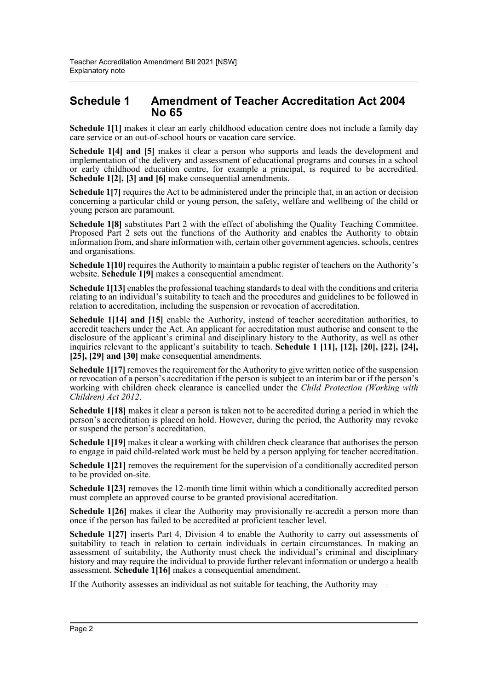### **Schedule 1 Amendment of Teacher Accreditation Act 2004 No 65**

**Schedule 1[1]** makes it clear an early childhood education centre does not include a family day care service or an out-of-school hours or vacation care service.

**Schedule 1[4] and [5]** makes it clear a person who supports and leads the development and implementation of the delivery and assessment of educational programs and courses in a school or early childhood education centre, for example a principal, is required to be accredited. **Schedule 1[2], [3] and [6]** make consequential amendments.

**Schedule 1[7]** requires the Act to be administered under the principle that, in an action or decision concerning a particular child or young person, the safety, welfare and wellbeing of the child or young person are paramount.

**Schedule 1[8]** substitutes Part 2 with the effect of abolishing the Quality Teaching Committee. Proposed Part 2 sets out the functions of the Authority and enables the Authority to obtain information from, and share information with, certain other government agencies, schools, centres and organisations.

**Schedule 1[10]** requires the Authority to maintain a public register of teachers on the Authority's website. **Schedule 1[9]** makes a consequential amendment.

**Schedule 1[13]** enables the professional teaching standards to deal with the conditions and criteria relating to an individual's suitability to teach and the procedures and guidelines to be followed in relation to accreditation, including the suspension or revocation of accreditation.

**Schedule 1[14] and [15]** enable the Authority, instead of teacher accreditation authorities, to accredit teachers under the Act. An applicant for accreditation must authorise and consent to the disclosure of the applicant's criminal and disciplinary history to the Authority, as well as other inquiries relevant to the applicant's suitability to teach. **Schedule 1 [11], [12], [20], [22], [24], [25], [29] and [30]** make consequential amendments.

**Schedule 1[17]** removes the requirement for the Authority to give written notice of the suspension or revocation of a person's accreditation if the person is subject to an interim bar or if the person's working with children check clearance is cancelled under the *Child Protection (Working with Children) Act 2012*.

**Schedule 1[18]** makes it clear a person is taken not to be accredited during a period in which the person's accreditation is placed on hold. However, during the period, the Authority may revoke or suspend the person's accreditation.

**Schedule 1[19]** makes it clear a working with children check clearance that authorises the person to engage in paid child-related work must be held by a person applying for teacher accreditation.

**Schedule 1[21]** removes the requirement for the supervision of a conditionally accredited person to be provided on-site.

**Schedule 1[23]** removes the 12-month time limit within which a conditionally accredited person must complete an approved course to be granted provisional accreditation.

**Schedule 1[26]** makes it clear the Authority may provisionally re-accredit a person more than once if the person has failed to be accredited at proficient teacher level.

**Schedule 1[27]** inserts Part 4, Division 4 to enable the Authority to carry out assessments of suitability to teach in relation to certain individuals in certain circumstances. In making an assessment of suitability, the Authority must check the individual's criminal and disciplinary history and may require the individual to provide further relevant information or undergo a health assessment. **Schedule 1[16]** makes a consequential amendment.

If the Authority assesses an individual as not suitable for teaching, the Authority may—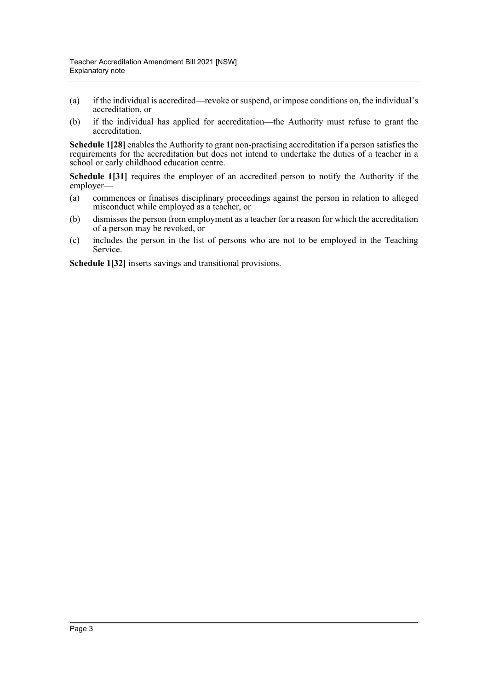- (a) if the individual is accredited—revoke or suspend, or impose conditions on, the individual's accreditation, or
- (b) if the individual has applied for accreditation—the Authority must refuse to grant the accreditation.

**Schedule 1[28]** enables the Authority to grant non-practising accreditation if a person satisfies the requirements for the accreditation but does not intend to undertake the duties of a teacher in a school or early childhood education centre.

Schedule 1[31] requires the employer of an accredited person to notify the Authority if the employer—

- (a) commences or finalises disciplinary proceedings against the person in relation to alleged misconduct while employed as a teacher, or
- (b) dismisses the person from employment as a teacher for a reason for which the accreditation of a person may be revoked, or
- (c) includes the person in the list of persons who are not to be employed in the Teaching Service.

**Schedule 1[32]** inserts savings and transitional provisions.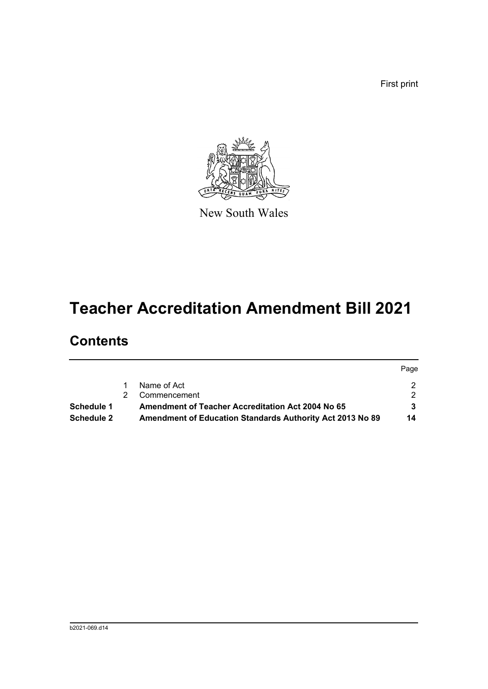First print



New South Wales

# **Teacher Accreditation Amendment Bill 2021**

# **Contents**

|                   |    |                                                                  | Page |
|-------------------|----|------------------------------------------------------------------|------|
|                   |    | Name of Act                                                      |      |
|                   | 2. | Commencement                                                     |      |
| Schedule 1        |    | <b>Amendment of Teacher Accreditation Act 2004 No 65</b>         |      |
| <b>Schedule 2</b> |    | <b>Amendment of Education Standards Authority Act 2013 No 89</b> | 14   |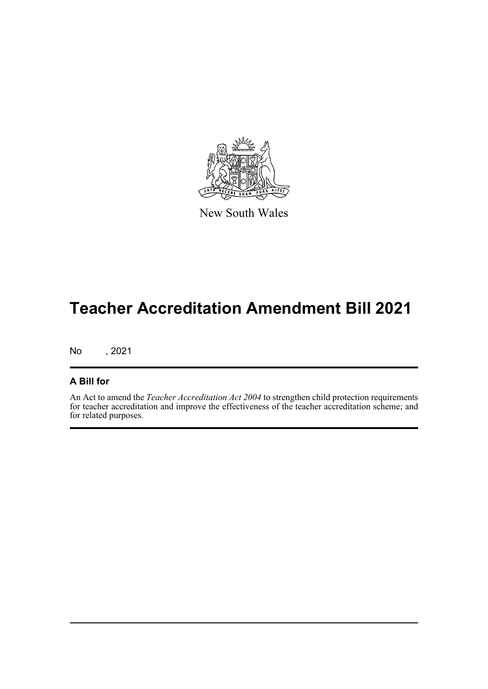

New South Wales

# **Teacher Accreditation Amendment Bill 2021**

No , 2021

#### **A Bill for**

An Act to amend the *Teacher Accreditation Act 2004* to strengthen child protection requirements for teacher accreditation and improve the effectiveness of the teacher accreditation scheme; and for related purposes.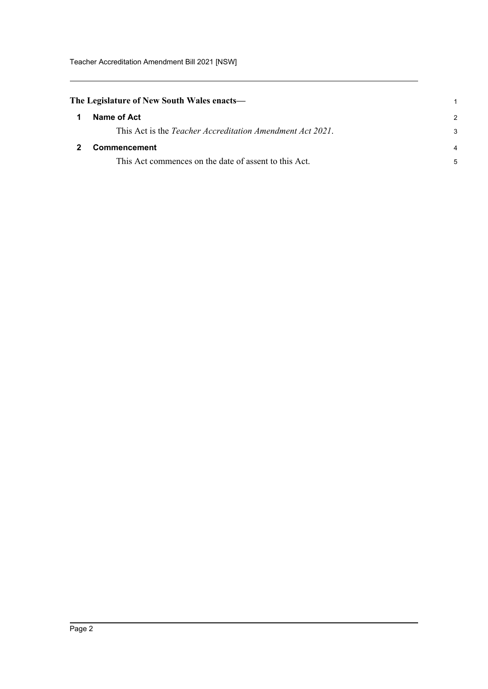<span id="page-5-1"></span><span id="page-5-0"></span>

|              | The Legislature of New South Wales enacts—                        |
|--------------|-------------------------------------------------------------------|
| $\mathbf 1$  | Name of Act                                                       |
|              | This Act is the <i>Teacher Accreditation Amendment Act 2021</i> . |
| $\mathbf{2}$ | Commencement                                                      |
|              | This Act commences on the date of assent to this Act.             |

1 2 3

4 5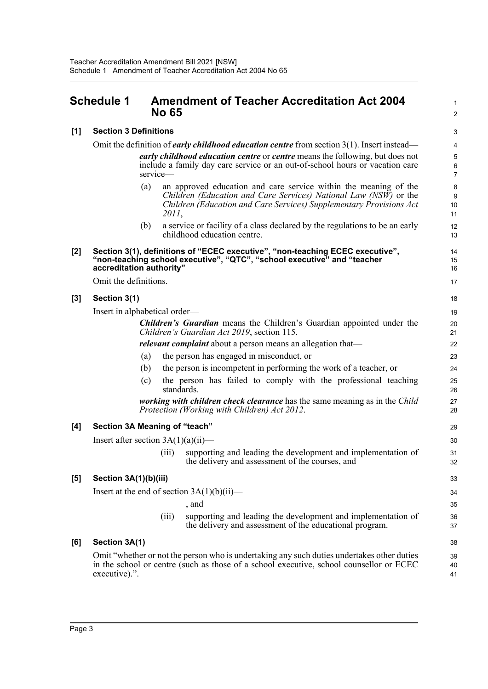### <span id="page-6-0"></span>**Schedule 1 Amendment of Teacher Accreditation Act 2004 No 65**

| [1]   | <b>Section 3 Definitions</b>                                                                                               |       |                                                                                                                                                                                       |                     |  |  |  |
|-------|----------------------------------------------------------------------------------------------------------------------------|-------|---------------------------------------------------------------------------------------------------------------------------------------------------------------------------------------|---------------------|--|--|--|
|       |                                                                                                                            |       | Omit the definition of <i>early childhood education centre</i> from section $3(1)$ . Insert instead—                                                                                  | 4                   |  |  |  |
|       | <i>early childhood education centre</i> or <i>centre</i> means the following, but does not                                 |       |                                                                                                                                                                                       |                     |  |  |  |
|       | service-                                                                                                                   |       | include a family day care service or an out-of-school hours or vacation care                                                                                                          | 6<br>$\overline{7}$ |  |  |  |
|       | (a)                                                                                                                        |       | an approved education and care service within the meaning of the                                                                                                                      | 8                   |  |  |  |
|       |                                                                                                                            |       | Children (Education and Care Services) National Law (NSW) or the<br>Children (Education and Care Services) Supplementary Provisions Act                                               | 9<br>10             |  |  |  |
|       |                                                                                                                            | 2011, |                                                                                                                                                                                       | 11                  |  |  |  |
|       | (b)                                                                                                                        |       | a service or facility of a class declared by the regulations to be an early<br>childhood education centre.                                                                            | 12<br>13            |  |  |  |
| [2]   | accreditation authority"                                                                                                   |       | Section 3(1), definitions of "ECEC executive", "non-teaching ECEC executive",<br>"non-teaching school executive", "QTC", "school executive" and "teacher                              | 14<br>15<br>16      |  |  |  |
|       | Omit the definitions.                                                                                                      |       |                                                                                                                                                                                       |                     |  |  |  |
| $[3]$ | Section 3(1)                                                                                                               |       |                                                                                                                                                                                       | 18                  |  |  |  |
|       | Insert in alphabetical order—                                                                                              |       |                                                                                                                                                                                       | 19                  |  |  |  |
|       |                                                                                                                            |       | <b>Children's Guardian</b> means the Children's Guardian appointed under the<br>Children's Guardian Act 2019, section 115.                                                            | 20<br>21            |  |  |  |
|       |                                                                                                                            |       | <i>relevant complaint</i> about a person means an allegation that—                                                                                                                    | 22                  |  |  |  |
|       | (a)                                                                                                                        |       | the person has engaged in misconduct, or                                                                                                                                              | 23                  |  |  |  |
|       | (b)                                                                                                                        |       | the person is incompetent in performing the work of a teacher, or                                                                                                                     | 24                  |  |  |  |
|       | (c)                                                                                                                        |       | the person has failed to comply with the professional teaching<br>standards.                                                                                                          | 25<br>26            |  |  |  |
|       | working with children check clearance has the same meaning as in the Child<br>Protection (Working with Children) Act 2012. |       |                                                                                                                                                                                       |                     |  |  |  |
| [4]   | Section 3A Meaning of "teach"                                                                                              |       |                                                                                                                                                                                       | 29                  |  |  |  |
|       | Insert after section $3A(1)(a)(ii)$ —                                                                                      |       |                                                                                                                                                                                       | 30                  |  |  |  |
|       |                                                                                                                            | (iii) | supporting and leading the development and implementation of<br>the delivery and assessment of the courses, and                                                                       | 31<br>32            |  |  |  |
| [5]   | Section 3A(1)(b)(iii)                                                                                                      |       |                                                                                                                                                                                       | 33                  |  |  |  |
|       | Insert at the end of section $3A(1)(b)(ii)$ —                                                                              |       |                                                                                                                                                                                       | 34                  |  |  |  |
|       |                                                                                                                            |       | , and                                                                                                                                                                                 | 35                  |  |  |  |
|       |                                                                                                                            | (iii) | supporting and leading the development and implementation of<br>the delivery and assessment of the educational program.                                                               | 36<br>37            |  |  |  |
| [6]   | Section 3A(1)                                                                                                              |       |                                                                                                                                                                                       | 38                  |  |  |  |
|       | executive).".                                                                                                              |       | Omit "whether or not the person who is undertaking any such duties undertakes other duties<br>in the school or centre (such as those of a school executive, school counsellor or ECEC | 39<br>40<br>41      |  |  |  |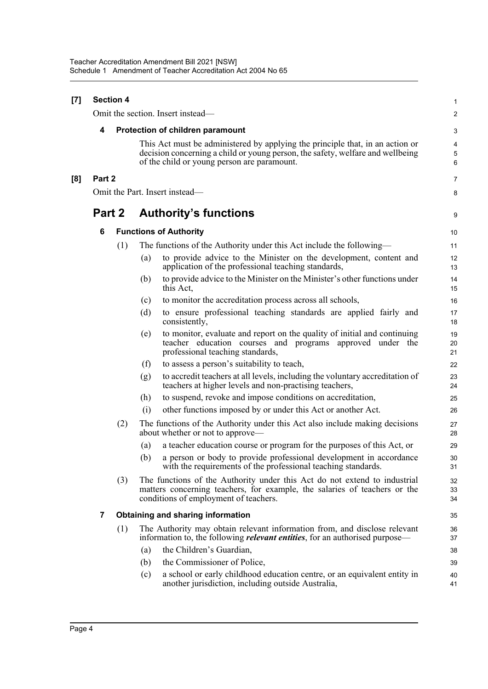| $[7]$ |        | <b>Section 4</b> |                              |                                                                                                                                                                                                                | 1                                 |  |  |  |
|-------|--------|------------------|------------------------------|----------------------------------------------------------------------------------------------------------------------------------------------------------------------------------------------------------------|-----------------------------------|--|--|--|
|       |        |                  |                              | Omit the section. Insert instead-                                                                                                                                                                              | $\overline{c}$                    |  |  |  |
|       | 4      |                  |                              | Protection of children paramount                                                                                                                                                                               | 3                                 |  |  |  |
|       |        |                  |                              | This Act must be administered by applying the principle that, in an action or<br>decision concerning a child or young person, the safety, welfare and wellbeing<br>of the child or young person are paramount. | $\overline{\mathbf{4}}$<br>5<br>6 |  |  |  |
| [8]   | Part 2 |                  |                              |                                                                                                                                                                                                                | $\overline{7}$                    |  |  |  |
|       |        |                  |                              | Omit the Part. Insert instead—                                                                                                                                                                                 | 8                                 |  |  |  |
|       | Part 2 |                  | <b>Authority's functions</b> |                                                                                                                                                                                                                |                                   |  |  |  |
|       | 6      |                  |                              | <b>Functions of Authority</b>                                                                                                                                                                                  | 10                                |  |  |  |
|       |        | (1)              |                              | The functions of the Authority under this Act include the following—                                                                                                                                           | 11                                |  |  |  |
|       |        |                  | (a)                          | to provide advice to the Minister on the development, content and<br>application of the professional teaching standards,                                                                                       | 12<br>13                          |  |  |  |
|       |        |                  | (b)                          | to provide advice to the Minister on the Minister's other functions under<br>this Act,                                                                                                                         | 14<br>15                          |  |  |  |
|       |        |                  | (c)                          | to monitor the accreditation process across all schools,                                                                                                                                                       | 16                                |  |  |  |
|       |        |                  | (d)                          | to ensure professional teaching standards are applied fairly and<br>consistently,                                                                                                                              | 17<br>18                          |  |  |  |
|       |        |                  | (e)                          | to monitor, evaluate and report on the quality of initial and continuing<br>teacher education courses and programs approved under the<br>professional teaching standards,                                      | 19<br>20<br>21                    |  |  |  |
|       |        |                  | (f)                          | to assess a person's suitability to teach,                                                                                                                                                                     | 22                                |  |  |  |
|       |        |                  | (g)                          | to accredit teachers at all levels, including the voluntary accreditation of<br>teachers at higher levels and non-practising teachers,                                                                         | 23<br>24                          |  |  |  |
|       |        |                  | (h)                          | to suspend, revoke and impose conditions on accreditation,                                                                                                                                                     | 25                                |  |  |  |
|       |        |                  | (i)                          | other functions imposed by or under this Act or another Act.                                                                                                                                                   | 26                                |  |  |  |
|       |        | (2)              |                              | The functions of the Authority under this Act also include making decisions<br>about whether or not to approve—                                                                                                | 27<br>28                          |  |  |  |
|       |        |                  | (a)                          | a teacher education course or program for the purposes of this Act, or                                                                                                                                         | 29                                |  |  |  |
|       |        |                  |                              | (b) a person or body to provide professional development in accordance<br>with the requirements of the professional teaching standards.                                                                        | 30<br>31                          |  |  |  |
|       |        | (3)              |                              | The functions of the Authority under this Act do not extend to industrial<br>matters concerning teachers, for example, the salaries of teachers or the<br>conditions of employment of teachers.                | 32<br>33<br>34                    |  |  |  |
|       | 7      |                  |                              | <b>Obtaining and sharing information</b>                                                                                                                                                                       | 35                                |  |  |  |
|       |        | (1)              |                              | The Authority may obtain relevant information from, and disclose relevant<br>information to, the following <i>relevant entities</i> , for an authorised purpose—                                               | 36<br>37                          |  |  |  |
|       |        |                  | (a)                          | the Children's Guardian,                                                                                                                                                                                       | 38                                |  |  |  |
|       |        |                  | (b)                          | the Commissioner of Police,                                                                                                                                                                                    | 39                                |  |  |  |
|       |        |                  | (c)                          | a school or early childhood education centre, or an equivalent entity in<br>another jurisdiction, including outside Australia,                                                                                 | 40<br>41                          |  |  |  |
|       |        |                  |                              |                                                                                                                                                                                                                |                                   |  |  |  |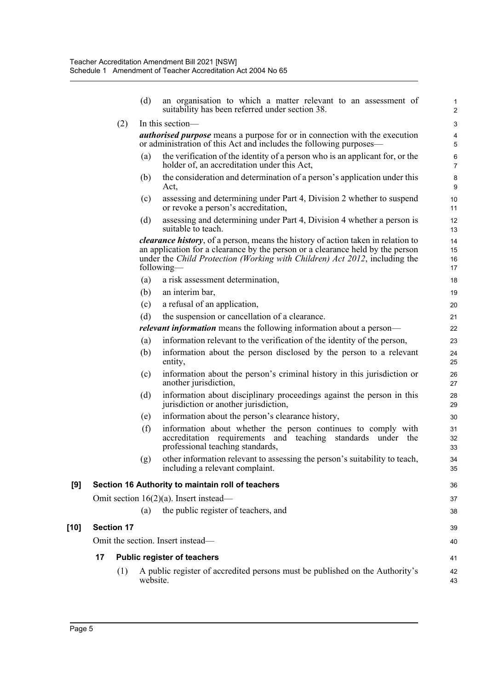|        |                   | (d)      | an organisation to which a matter relevant to an assessment of<br>suitability has been referred under section 38.                                                                                                                                                      | $\mathbf{1}$<br>$\boldsymbol{2}$ |
|--------|-------------------|----------|------------------------------------------------------------------------------------------------------------------------------------------------------------------------------------------------------------------------------------------------------------------------|----------------------------------|
|        | (2)               |          | In this section—                                                                                                                                                                                                                                                       | 3                                |
|        |                   |          | <b><i>authorised purpose</i></b> means a purpose for or in connection with the execution<br>or administration of this Act and includes the following purposes—                                                                                                         | 4<br>5                           |
|        |                   | (a)      | the verification of the identity of a person who is an applicant for, or the<br>holder of, an accreditation under this Act,                                                                                                                                            | $\,6$<br>$\overline{7}$          |
|        |                   | (b)      | the consideration and determination of a person's application under this<br>Act,                                                                                                                                                                                       | 8<br>9                           |
|        |                   | (c)      | assessing and determining under Part 4, Division 2 whether to suspend<br>or revoke a person's accreditation,                                                                                                                                                           | 10<br>11                         |
|        |                   | (d)      | assessing and determining under Part 4, Division 4 whether a person is<br>suitable to teach.                                                                                                                                                                           | 12<br>13                         |
|        |                   |          | <i>clearance history</i> , of a person, means the history of action taken in relation to<br>an application for a clearance by the person or a clearance held by the person<br>under the Child Protection (Working with Children) Act 2012, including the<br>following— | 14<br>15<br>16<br>17             |
|        |                   | (a)      | a risk assessment determination,                                                                                                                                                                                                                                       | 18                               |
|        |                   | (b)      | an interim bar,                                                                                                                                                                                                                                                        | 19                               |
|        |                   | (c)      | a refusal of an application,                                                                                                                                                                                                                                           | 20                               |
|        |                   | (d)      | the suspension or cancellation of a clearance.                                                                                                                                                                                                                         | 21                               |
|        |                   |          | relevant information means the following information about a person-                                                                                                                                                                                                   | 22                               |
|        |                   | (a)      | information relevant to the verification of the identity of the person,                                                                                                                                                                                                | 23                               |
|        |                   | (b)      | information about the person disclosed by the person to a relevant<br>entity,                                                                                                                                                                                          | 24<br>25                         |
|        |                   | (c)      | information about the person's criminal history in this jurisdiction or<br>another jurisdiction,                                                                                                                                                                       | 26<br>27                         |
|        |                   | (d)      | information about disciplinary proceedings against the person in this<br>jurisdiction or another jurisdiction,                                                                                                                                                         | 28<br>29                         |
|        |                   | (e)      | information about the person's clearance history,                                                                                                                                                                                                                      | 30                               |
|        |                   | (f)      | information about whether the person continues to comply with<br>accreditation requirements<br>and teaching<br>standards under the<br>professional teaching standards,                                                                                                 | 31<br>32<br>33                   |
|        |                   | (g)      | other information relevant to assessing the person's suitability to teach,<br>including a relevant complaint.                                                                                                                                                          | 34<br>35                         |
| [9]    |                   |          | Section 16 Authority to maintain roll of teachers                                                                                                                                                                                                                      | 36                               |
|        |                   |          | Omit section $16(2)(a)$ . Insert instead—                                                                                                                                                                                                                              | 37                               |
|        |                   | (a)      | the public register of teachers, and                                                                                                                                                                                                                                   | 38                               |
| $[10]$ | <b>Section 17</b> |          |                                                                                                                                                                                                                                                                        | 39                               |
|        |                   |          | Omit the section. Insert instead-                                                                                                                                                                                                                                      | 40                               |
|        |                   |          |                                                                                                                                                                                                                                                                        |                                  |
|        | 17                |          | <b>Public register of teachers</b>                                                                                                                                                                                                                                     | 41                               |
|        | (1)               | website. | A public register of accredited persons must be published on the Authority's                                                                                                                                                                                           | 42<br>43                         |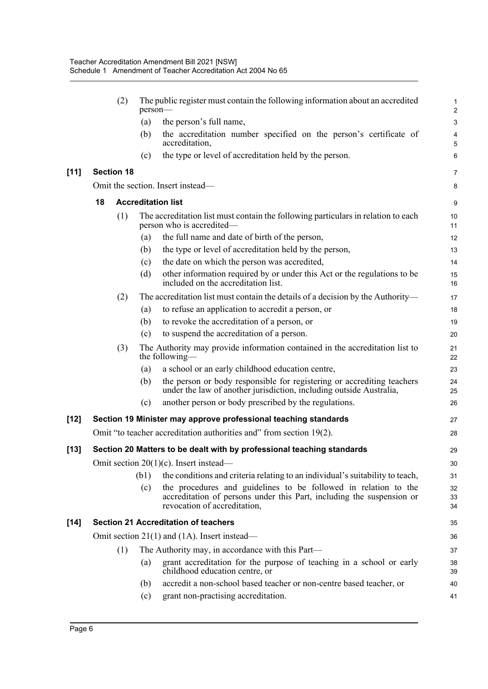|        |                   | (2) | person-                   | The public register must contain the following information about an accredited                                                                                           | 1<br>$\overline{\mathbf{c}}$ |  |  |  |  |  |  |
|--------|-------------------|-----|---------------------------|--------------------------------------------------------------------------------------------------------------------------------------------------------------------------|------------------------------|--|--|--|--|--|--|
|        |                   |     | (a)                       | the person's full name,                                                                                                                                                  | 3                            |  |  |  |  |  |  |
|        |                   |     | (b)                       | the accreditation number specified on the person's certificate of<br>accreditation,                                                                                      | 4<br>5                       |  |  |  |  |  |  |
|        |                   |     | (c)                       | the type or level of accreditation held by the person.                                                                                                                   | 6                            |  |  |  |  |  |  |
| $[11]$ | <b>Section 18</b> |     |                           |                                                                                                                                                                          | 7                            |  |  |  |  |  |  |
|        |                   |     |                           | Omit the section. Insert instead-                                                                                                                                        | 8                            |  |  |  |  |  |  |
|        | 18                |     | <b>Accreditation list</b> |                                                                                                                                                                          |                              |  |  |  |  |  |  |
|        |                   | (1) |                           | The accreditation list must contain the following particulars in relation to each<br>person who is accredited—                                                           | 10<br>11                     |  |  |  |  |  |  |
|        |                   |     | (a)                       | the full name and date of birth of the person,                                                                                                                           | 12                           |  |  |  |  |  |  |
|        |                   |     | (b)                       | the type or level of accreditation held by the person,                                                                                                                   | 13                           |  |  |  |  |  |  |
|        |                   |     | (c)                       | the date on which the person was accredited,                                                                                                                             | 14                           |  |  |  |  |  |  |
|        |                   |     | (d)                       | other information required by or under this Act or the regulations to be<br>included on the accreditation list.                                                          | 15<br>16                     |  |  |  |  |  |  |
|        |                   | (2) |                           | The accreditation list must contain the details of a decision by the Authority-                                                                                          | 17                           |  |  |  |  |  |  |
|        |                   |     | (a)                       | to refuse an application to accredit a person, or                                                                                                                        | 18                           |  |  |  |  |  |  |
|        |                   |     | (b)                       | to revoke the accreditation of a person, or                                                                                                                              | 19                           |  |  |  |  |  |  |
|        |                   |     | (c)                       | to suspend the accreditation of a person.                                                                                                                                | 20                           |  |  |  |  |  |  |
|        |                   | (3) |                           | The Authority may provide information contained in the accreditation list to<br>the following-                                                                           | 21<br>22                     |  |  |  |  |  |  |
|        |                   |     | (a)                       | a school or an early childhood education centre,                                                                                                                         | 23                           |  |  |  |  |  |  |
|        |                   |     | (b)                       | the person or body responsible for registering or accrediting teachers<br>under the law of another jurisdiction, including outside Australia,                            | 24<br>25                     |  |  |  |  |  |  |
|        |                   |     | (c)                       | another person or body prescribed by the regulations.                                                                                                                    | 26                           |  |  |  |  |  |  |
| [12]   |                   |     |                           | Section 19 Minister may approve professional teaching standards                                                                                                          | 27                           |  |  |  |  |  |  |
|        |                   |     |                           | Omit "to teacher accreditation authorities and" from section 19(2).                                                                                                      | 28                           |  |  |  |  |  |  |
| $[13]$ |                   |     |                           | Section 20 Matters to be dealt with by professional teaching standards                                                                                                   | 29                           |  |  |  |  |  |  |
|        |                   |     |                           | Omit section 20(1)(c). Insert instead-                                                                                                                                   | 30                           |  |  |  |  |  |  |
|        |                   |     | (b1)                      | the conditions and criteria relating to an individual's suitability to teach,                                                                                            | 31                           |  |  |  |  |  |  |
|        |                   |     | (c)                       | the procedures and guidelines to be followed in relation to the<br>accreditation of persons under this Part, including the suspension or<br>revocation of accreditation, | 32<br>33<br>34               |  |  |  |  |  |  |
| $[14]$ |                   |     |                           | <b>Section 21 Accreditation of teachers</b>                                                                                                                              | 35                           |  |  |  |  |  |  |
|        |                   |     |                           | Omit section $21(1)$ and $(1A)$ . Insert instead—                                                                                                                        | 36                           |  |  |  |  |  |  |
|        |                   | (1) |                           | The Authority may, in accordance with this Part—                                                                                                                         | 37                           |  |  |  |  |  |  |
|        |                   |     | (a)                       | grant accreditation for the purpose of teaching in a school or early<br>childhood education centre, or                                                                   | 38<br>39                     |  |  |  |  |  |  |
|        |                   |     | (b)                       | accredit a non-school based teacher or non-centre based teacher, or                                                                                                      | 40                           |  |  |  |  |  |  |
|        |                   |     | (c)                       | grant non-practising accreditation.                                                                                                                                      | 41                           |  |  |  |  |  |  |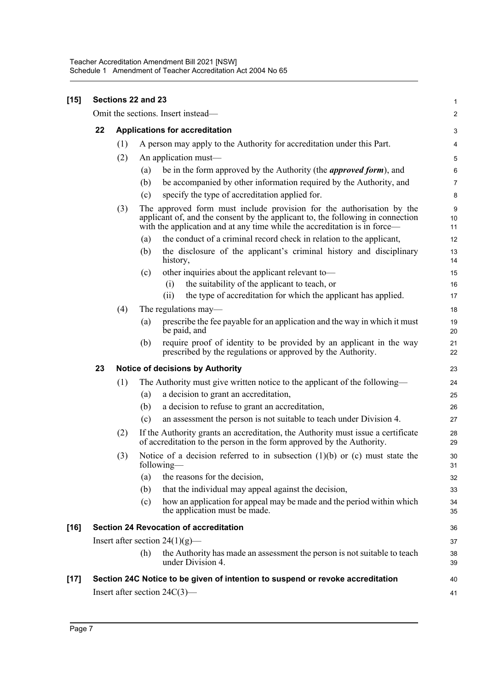|    |                                | Sections 22 and 23                                                                                                                                                                                                                   |  |  |  |
|----|--------------------------------|--------------------------------------------------------------------------------------------------------------------------------------------------------------------------------------------------------------------------------------|--|--|--|
|    |                                | Omit the sections. Insert instead-                                                                                                                                                                                                   |  |  |  |
| 22 | Applications for accreditation |                                                                                                                                                                                                                                      |  |  |  |
|    | (1)                            | A person may apply to the Authority for accreditation under this Part.                                                                                                                                                               |  |  |  |
|    | (2)                            | An application must-                                                                                                                                                                                                                 |  |  |  |
|    |                                | be in the form approved by the Authority (the <i>approved form</i> ), and<br>(a)                                                                                                                                                     |  |  |  |
|    |                                | be accompanied by other information required by the Authority, and<br>(b)                                                                                                                                                            |  |  |  |
|    |                                | specify the type of accreditation applied for.<br>(c)                                                                                                                                                                                |  |  |  |
|    | (3)                            | The approved form must include provision for the authorisation by the<br>applicant of, and the consent by the applicant to, the following in connection<br>with the application and at any time while the accreditation is in force- |  |  |  |
|    |                                | the conduct of a criminal record check in relation to the applicant,<br>(a)                                                                                                                                                          |  |  |  |
|    |                                | the disclosure of the applicant's criminal history and disciplinary<br>(b)<br>history,                                                                                                                                               |  |  |  |
|    |                                | other inquiries about the applicant relevant to-<br>(c)                                                                                                                                                                              |  |  |  |
|    |                                | the suitability of the applicant to teach, or<br>(i)                                                                                                                                                                                 |  |  |  |
|    |                                | the type of accreditation for which the applicant has applied.<br>(ii)                                                                                                                                                               |  |  |  |
|    | (4)                            | The regulations may—                                                                                                                                                                                                                 |  |  |  |
|    |                                | prescribe the fee payable for an application and the way in which it must<br>(a)<br>be paid, and                                                                                                                                     |  |  |  |
|    |                                | require proof of identity to be provided by an applicant in the way<br>(b)<br>prescribed by the regulations or approved by the Authority.                                                                                            |  |  |  |
| 23 |                                | <b>Notice of decisions by Authority</b>                                                                                                                                                                                              |  |  |  |
|    | (1)                            | The Authority must give written notice to the applicant of the following-                                                                                                                                                            |  |  |  |
|    |                                | a decision to grant an accreditation,<br>(a)                                                                                                                                                                                         |  |  |  |
|    |                                | (b)<br>a decision to refuse to grant an accreditation,                                                                                                                                                                               |  |  |  |
|    |                                | an assessment the person is not suitable to teach under Division 4.<br>(c)                                                                                                                                                           |  |  |  |
|    | (2)                            | If the Authority grants an accreditation, the Authority must issue a certificate<br>of accreditation to the person in the form approved by the Authority.                                                                            |  |  |  |
|    | (3)                            | Notice of a decision referred to in subsection $(1)(b)$ or $(c)$ must state the<br>following—                                                                                                                                        |  |  |  |
|    |                                | the reasons for the decision,<br>(a)                                                                                                                                                                                                 |  |  |  |
|    |                                | that the individual may appeal against the decision,<br>(b)                                                                                                                                                                          |  |  |  |
|    |                                | how an application for appeal may be made and the period within which<br>(c)<br>the application must be made.                                                                                                                        |  |  |  |
|    |                                | <b>Section 24 Revocation of accreditation</b>                                                                                                                                                                                        |  |  |  |
|    |                                | Insert after section $24(1)(g)$ —                                                                                                                                                                                                    |  |  |  |
|    |                                | the Authority has made an assessment the person is not suitable to teach<br>(h)<br>under Division 4.                                                                                                                                 |  |  |  |
|    |                                | Section 24C Notice to be given of intention to suspend or revoke accreditation                                                                                                                                                       |  |  |  |
|    |                                | Insert after section $24C(3)$ —                                                                                                                                                                                                      |  |  |  |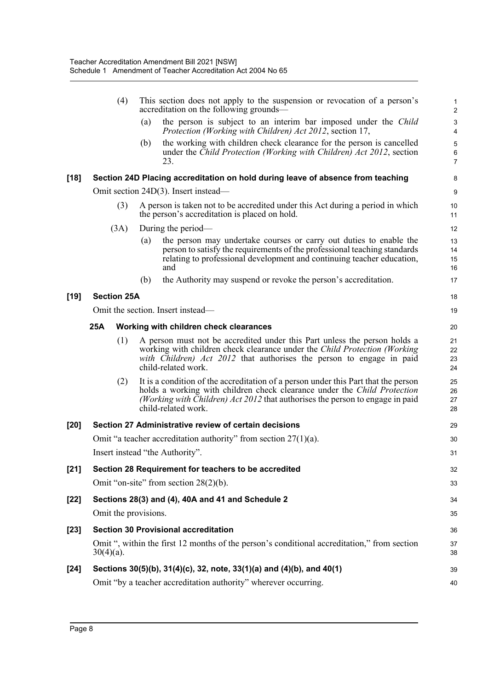|        | (4)                  |     | This section does not apply to the suspension or revocation of a person's<br>accreditation on the following grounds—                                                                                                                                                          | $\mathbf 1$<br>$\overline{c}$  |
|--------|----------------------|-----|-------------------------------------------------------------------------------------------------------------------------------------------------------------------------------------------------------------------------------------------------------------------------------|--------------------------------|
|        |                      | (a) | the person is subject to an interim bar imposed under the Child<br>Protection (Working with Children) Act 2012, section 17,                                                                                                                                                   | $\ensuremath{\mathsf{3}}$<br>4 |
|        |                      | (b) | the working with children check clearance for the person is cancelled<br>under the Child Protection (Working with Children) Act 2012, section<br>23.                                                                                                                          | 5<br>6<br>$\overline{7}$       |
| $[18]$ |                      |     | Section 24D Placing accreditation on hold during leave of absence from teaching                                                                                                                                                                                               | 8                              |
|        |                      |     | Omit section 24D(3). Insert instead—                                                                                                                                                                                                                                          | 9                              |
|        | (3)                  |     | A person is taken not to be accredited under this Act during a period in which<br>the person's accreditation is placed on hold.                                                                                                                                               | 10<br>11                       |
|        | (3A)                 |     | During the period—                                                                                                                                                                                                                                                            | 12                             |
|        |                      | (a) | the person may undertake courses or carry out duties to enable the<br>person to satisfy the requirements of the professional teaching standards<br>relating to professional development and continuing teacher education,<br>and                                              | 13<br>14<br>15<br>16           |
|        |                      | (b) | the Authority may suspend or revoke the person's accreditation.                                                                                                                                                                                                               | 17                             |
| $[19]$ | <b>Section 25A</b>   |     |                                                                                                                                                                                                                                                                               | 18                             |
|        |                      |     | Omit the section. Insert instead—                                                                                                                                                                                                                                             | 19                             |
|        | 25A                  |     | Working with children check clearances                                                                                                                                                                                                                                        | 20                             |
|        | (1)                  |     | A person must not be accredited under this Part unless the person holds a<br>working with children check clearance under the Child Protection (Working<br>with Children) Act 2012 that authorises the person to engage in paid<br>child-related work.                         | 21<br>22<br>23<br>24           |
|        | (2)                  |     | It is a condition of the accreditation of a person under this Part that the person<br>holds a working with children check clearance under the <i>Child Protection</i><br>(Working with Children) Act 2012 that authorises the person to engage in paid<br>child-related work. | 25<br>26<br>27<br>28           |
| $[20]$ |                      |     | Section 27 Administrative review of certain decisions                                                                                                                                                                                                                         | 29                             |
|        |                      |     | Omit "a teacher accreditation authority" from section $27(1)(a)$ .                                                                                                                                                                                                            | 30                             |
|        |                      |     | Insert instead "the Authority".                                                                                                                                                                                                                                               | 31                             |
| $[21]$ |                      |     | Section 28 Requirement for teachers to be accredited                                                                                                                                                                                                                          | 32                             |
|        |                      |     | Omit "on-site" from section $28(2)(b)$ .                                                                                                                                                                                                                                      | 33                             |
| $[22]$ |                      |     | Sections 28(3) and (4), 40A and 41 and Schedule 2                                                                                                                                                                                                                             | 34                             |
|        | Omit the provisions. |     |                                                                                                                                                                                                                                                                               | 35                             |
| $[23]$ |                      |     | <b>Section 30 Provisional accreditation</b>                                                                                                                                                                                                                                   | 36                             |
|        | $30(4)(a)$ .         |     | Omit ", within the first 12 months of the person's conditional accreditation," from section                                                                                                                                                                                   | 37<br>38                       |
| $[24]$ |                      |     | Sections 30(5)(b), 31(4)(c), 32, note, 33(1)(a) and (4)(b), and 40(1)                                                                                                                                                                                                         | 39                             |
|        |                      |     | Omit "by a teacher accreditation authority" wherever occurring.                                                                                                                                                                                                               | 40                             |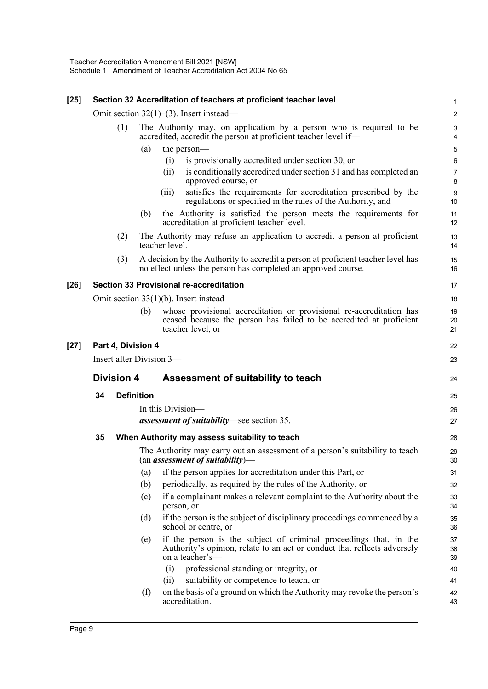| $[25]$ |                          |     |                   | Section 32 Accreditation of teachers at proficient teacher level                                                                                                 | 1                              |  |  |
|--------|--------------------------|-----|-------------------|------------------------------------------------------------------------------------------------------------------------------------------------------------------|--------------------------------|--|--|
|        |                          |     |                   | Omit section $32(1)$ –(3). Insert instead–                                                                                                                       | $\overline{c}$                 |  |  |
|        |                          | (1) |                   | The Authority may, on application by a person who is required to be<br>accredited, accredit the person at proficient teacher level if-                           | $\ensuremath{\mathsf{3}}$<br>4 |  |  |
|        |                          |     | (a)               | the person-                                                                                                                                                      | 5                              |  |  |
|        |                          |     |                   | is provisionally accredited under section 30, or<br>(i)                                                                                                          | 6                              |  |  |
|        |                          |     |                   | is conditionally accredited under section 31 and has completed an<br>(ii)<br>approved course, or                                                                 | $\overline{7}$<br>8            |  |  |
|        |                          |     |                   | satisfies the requirements for accreditation prescribed by the<br>(iii)<br>regulations or specified in the rules of the Authority, and                           | $9\,$<br>10                    |  |  |
|        |                          |     | (b)               | the Authority is satisfied the person meets the requirements for<br>accreditation at proficient teacher level.                                                   | 11<br>12                       |  |  |
|        |                          | (2) |                   | The Authority may refuse an application to accredit a person at proficient<br>teacher level.                                                                     | 13<br>14                       |  |  |
|        |                          | (3) |                   | A decision by the Authority to accredit a person at proficient teacher level has<br>no effect unless the person has completed an approved course.                | 15<br>16                       |  |  |
| $[26]$ |                          |     |                   | <b>Section 33 Provisional re-accreditation</b>                                                                                                                   | 17                             |  |  |
|        |                          |     |                   | Omit section $33(1)(b)$ . Insert instead—                                                                                                                        | 18                             |  |  |
|        |                          |     | (b)               | whose provisional accreditation or provisional re-accreditation has<br>ceased because the person has failed to be accredited at proficient<br>teacher level, or  | 19<br>20<br>21                 |  |  |
| $[27]$ | Part 4, Division 4       |     |                   |                                                                                                                                                                  |                                |  |  |
|        | Insert after Division 3- |     |                   |                                                                                                                                                                  |                                |  |  |
|        | <b>Division 4</b>        |     |                   | Assessment of suitability to teach                                                                                                                               | 24                             |  |  |
|        | <b>Definition</b><br>34  |     |                   |                                                                                                                                                                  | 25                             |  |  |
|        |                          |     | In this Division- |                                                                                                                                                                  |                                |  |  |
|        |                          |     |                   | <i>assessment of suitability</i> —see section 35.                                                                                                                |                                |  |  |
|        | 35                       |     |                   | When Authority may assess suitability to teach                                                                                                                   | 28                             |  |  |
|        |                          |     |                   | The Authority may carry out an assessment of a person's suitability to teach<br>$(an$ assessment of suitability)-                                                | 29<br>30                       |  |  |
|        |                          |     | (a)               | if the person applies for accreditation under this Part, or                                                                                                      | 31                             |  |  |
|        |                          |     | (b)               | periodically, as required by the rules of the Authority, or                                                                                                      | 32                             |  |  |
|        |                          |     | (c)               | if a complainant makes a relevant complaint to the Authority about the<br>person, or                                                                             | 33<br>34                       |  |  |
|        |                          |     | (d)               | if the person is the subject of disciplinary proceedings commenced by a<br>school or centre, or                                                                  | 35<br>36                       |  |  |
|        |                          |     | (e)               | if the person is the subject of criminal proceedings that, in the<br>Authority's opinion, relate to an act or conduct that reflects adversely<br>on a teacher's- | 37<br>38<br>39                 |  |  |
|        |                          |     |                   | (i)<br>professional standing or integrity, or                                                                                                                    | 40                             |  |  |
|        |                          |     |                   | suitability or competence to teach, or<br>(ii)                                                                                                                   | 41                             |  |  |
|        |                          |     | (f)               | on the basis of a ground on which the Authority may revoke the person's<br>accreditation.                                                                        | 42<br>43                       |  |  |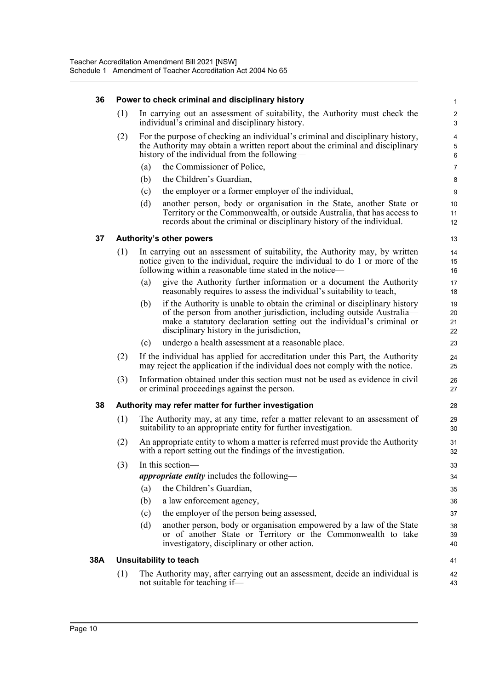#### **36 Power to check criminal and disciplinary history**

| 36  |     |                                                                                                                                                                 | Power to check criminal and disciplinary history                                                                                                                                                                                                                         | $\mathbf{1}$                     |  |  |  |
|-----|-----|-----------------------------------------------------------------------------------------------------------------------------------------------------------------|--------------------------------------------------------------------------------------------------------------------------------------------------------------------------------------------------------------------------------------------------------------------------|----------------------------------|--|--|--|
|     | (1) |                                                                                                                                                                 | In carrying out an assessment of suitability, the Authority must check the<br>individual's criminal and disciplinary history.                                                                                                                                            | $\boldsymbol{2}$<br>$\mathbf{3}$ |  |  |  |
|     | (2) |                                                                                                                                                                 | For the purpose of checking an individual's criminal and disciplinary history,<br>the Authority may obtain a written report about the criminal and disciplinary<br>history of the individual from the following—                                                         | $\overline{4}$<br>5<br>6         |  |  |  |
|     |     | (a)                                                                                                                                                             | the Commissioner of Police,                                                                                                                                                                                                                                              | $\overline{7}$                   |  |  |  |
|     |     | (b)                                                                                                                                                             | the Children's Guardian,                                                                                                                                                                                                                                                 | 8                                |  |  |  |
|     |     | (c)                                                                                                                                                             | the employer or a former employer of the individual,                                                                                                                                                                                                                     | 9                                |  |  |  |
|     |     | (d)                                                                                                                                                             | another person, body or organisation in the State, another State or<br>Territory or the Commonwealth, or outside Australia, that has access to<br>records about the criminal or disciplinary history of the individual.                                                  | 10<br>11<br>12                   |  |  |  |
| 37  |     |                                                                                                                                                                 | <b>Authority's other powers</b>                                                                                                                                                                                                                                          | 13                               |  |  |  |
|     | (1) |                                                                                                                                                                 | In carrying out an assessment of suitability, the Authority may, by written<br>notice given to the individual, require the individual to do 1 or more of the<br>following within a reasonable time stated in the notice-                                                 | 14<br>15<br>16                   |  |  |  |
|     |     | (a)                                                                                                                                                             | give the Authority further information or a document the Authority<br>reasonably requires to assess the individual's suitability to teach,                                                                                                                               | 17<br>18                         |  |  |  |
|     |     | (b)                                                                                                                                                             | if the Authority is unable to obtain the criminal or disciplinary history<br>of the person from another jurisdiction, including outside Australia—<br>make a statutory declaration setting out the individual's criminal or<br>disciplinary history in the jurisdiction, | 19<br>20<br>21<br>22             |  |  |  |
|     |     | (c)                                                                                                                                                             | undergo a health assessment at a reasonable place.                                                                                                                                                                                                                       | 23                               |  |  |  |
|     | (2) | If the individual has applied for accreditation under this Part, the Authority<br>may reject the application if the individual does not comply with the notice. |                                                                                                                                                                                                                                                                          |                                  |  |  |  |
|     | (3) | Information obtained under this section must not be used as evidence in civil<br>or criminal proceedings against the person.                                    |                                                                                                                                                                                                                                                                          |                                  |  |  |  |
| 38  |     |                                                                                                                                                                 | Authority may refer matter for further investigation                                                                                                                                                                                                                     | 28                               |  |  |  |
|     | (1) |                                                                                                                                                                 | The Authority may, at any time, refer a matter relevant to an assessment of<br>suitability to an appropriate entity for further investigation.                                                                                                                           | 29<br>30                         |  |  |  |
|     | (2) | An appropriate entity to whom a matter is referred must provide the Authority<br>with a report setting out the findings of the investigation.                   |                                                                                                                                                                                                                                                                          |                                  |  |  |  |
|     | (3) |                                                                                                                                                                 | In this section-                                                                                                                                                                                                                                                         | 33                               |  |  |  |
|     |     |                                                                                                                                                                 | <i>appropriate entity</i> includes the following—                                                                                                                                                                                                                        | 34                               |  |  |  |
|     |     | (a)                                                                                                                                                             | the Children's Guardian,                                                                                                                                                                                                                                                 | 35                               |  |  |  |
|     |     | (b)                                                                                                                                                             | a law enforcement agency,                                                                                                                                                                                                                                                | 36                               |  |  |  |
|     |     | (c)                                                                                                                                                             | the employer of the person being assessed,                                                                                                                                                                                                                               | 37                               |  |  |  |
|     |     | (d)                                                                                                                                                             | another person, body or organisation empowered by a law of the State<br>or of another State or Territory or the Commonwealth to take<br>investigatory, disciplinary or other action.                                                                                     | 38<br>39<br>40                   |  |  |  |
| 38A |     |                                                                                                                                                                 | <b>Unsuitability to teach</b>                                                                                                                                                                                                                                            | 41                               |  |  |  |
|     | (1) |                                                                                                                                                                 | The Authority may, after carrying out an assessment, decide an individual is<br>not suitable for teaching if-                                                                                                                                                            | 42<br>43                         |  |  |  |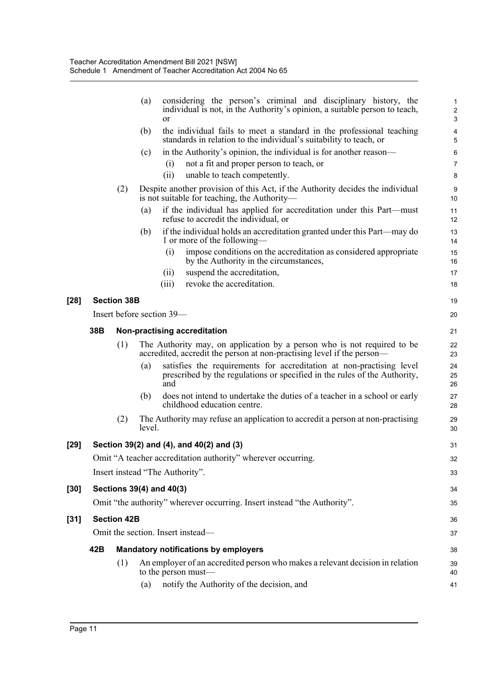|        |     |                    | (a)    | or                              | considering the person's criminal and disciplinary history, the<br>individual is not, in the Authority's opinion, a suitable person to teach,     | $\mathbf{1}$<br>$\overline{c}$<br>3 |
|--------|-----|--------------------|--------|---------------------------------|---------------------------------------------------------------------------------------------------------------------------------------------------|-------------------------------------|
|        |     |                    | (b)    |                                 | the individual fails to meet a standard in the professional teaching<br>standards in relation to the individual's suitability to teach, or        | 4<br>5                              |
|        |     |                    | (c)    |                                 | in the Authority's opinion, the individual is for another reason—                                                                                 | 6                                   |
|        |     |                    |        | (i)                             | not a fit and proper person to teach, or                                                                                                          | $\overline{7}$                      |
|        |     |                    |        | (ii)                            | unable to teach competently.                                                                                                                      | 8                                   |
|        |     | (2)                |        |                                 | Despite another provision of this Act, if the Authority decides the individual<br>is not suitable for teaching, the Authority-                    | $\boldsymbol{9}$<br>10              |
|        |     |                    | (a)    |                                 | if the individual has applied for accreditation under this Part—must<br>refuse to accredit the individual, or                                     | 11<br>12                            |
|        |     |                    | (b)    |                                 | if the individual holds an accreditation granted under this Part—may do<br>1 or more of the following—                                            | 13<br>14                            |
|        |     |                    |        | (i)                             | impose conditions on the accreditation as considered appropriate<br>by the Authority in the circumstances,                                        | 15<br>16                            |
|        |     |                    |        | (ii)                            | suspend the accreditation,                                                                                                                        | 17                                  |
|        |     |                    |        | (iii)                           | revoke the accreditation.                                                                                                                         | 18                                  |
| $[28]$ |     | <b>Section 38B</b> |        |                                 |                                                                                                                                                   | 19                                  |
|        |     |                    |        | Insert before section 39—       |                                                                                                                                                   | 20                                  |
|        | 38B |                    |        |                                 | Non-practising accreditation                                                                                                                      | 21                                  |
|        |     | (1)                |        |                                 | The Authority may, on application by a person who is not required to be<br>accredited, accredit the person at non-practising level if the person— | 22<br>23                            |
|        |     |                    | (a)    | and                             | satisfies the requirements for accreditation at non-practising level<br>prescribed by the regulations or specified in the rules of the Authority, | 24<br>25<br>26                      |
|        |     |                    | (b)    |                                 | does not intend to undertake the duties of a teacher in a school or early<br>childhood education centre.                                          | 27<br>28                            |
|        |     | (2)                | level. |                                 | The Authority may refuse an application to accredit a person at non-practising                                                                    | 29<br>30                            |
| $[29]$ |     |                    |        |                                 | Section 39(2) and (4), and 40(2) and (3)                                                                                                          | 31                                  |
|        |     |                    |        |                                 | Omit "A teacher accreditation authority" wherever occurring.                                                                                      | 32                                  |
|        |     |                    |        | Insert instead "The Authority". |                                                                                                                                                   | 33                                  |
| $[30]$ |     |                    |        | Sections 39(4) and 40(3)        |                                                                                                                                                   | 34                                  |
|        |     |                    |        |                                 | Omit "the authority" wherever occurring. Insert instead "the Authority".                                                                          | 35                                  |
| $[31]$ |     | <b>Section 42B</b> |        |                                 |                                                                                                                                                   | 36                                  |
|        |     |                    |        |                                 | Omit the section. Insert instead-                                                                                                                 | 37                                  |
|        | 42B |                    |        |                                 | <b>Mandatory notifications by employers</b>                                                                                                       | 38                                  |
|        |     | (1)                |        |                                 | An employer of an accredited person who makes a relevant decision in relation<br>to the person must-                                              | 39<br>40                            |
|        |     |                    | (a)    |                                 | notify the Authority of the decision, and                                                                                                         | 41                                  |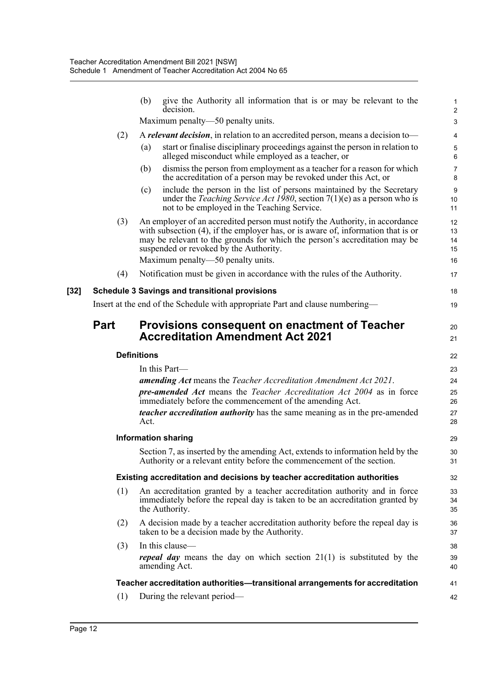|      |             | (b)<br>give the Authority all information that is or may be relevant to the<br>decision.                                                                                                                                                                                                                                      | $\mathbf 1$<br>$\overline{c}$ |  |  |  |  |
|------|-------------|-------------------------------------------------------------------------------------------------------------------------------------------------------------------------------------------------------------------------------------------------------------------------------------------------------------------------------|-------------------------------|--|--|--|--|
|      |             | Maximum penalty—50 penalty units.                                                                                                                                                                                                                                                                                             | $\mathbf{3}$                  |  |  |  |  |
|      | (2)         | A relevant decision, in relation to an accredited person, means a decision to-                                                                                                                                                                                                                                                | 4                             |  |  |  |  |
|      |             | (a)<br>start or finalise disciplinary proceedings against the person in relation to<br>alleged misconduct while employed as a teacher, or                                                                                                                                                                                     | 5<br>6                        |  |  |  |  |
|      |             | dismiss the person from employment as a teacher for a reason for which<br>(b)<br>the accreditation of a person may be revoked under this Act, or                                                                                                                                                                              | $\overline{7}$<br>8           |  |  |  |  |
|      |             | include the person in the list of persons maintained by the Secretary<br>(c)<br>under the <i>Teaching Service Act 1980</i> , section $7(1)(e)$ as a person who is<br>not to be employed in the Teaching Service.                                                                                                              | $9\,$<br>10<br>11             |  |  |  |  |
|      | (3)         | An employer of an accredited person must notify the Authority, in accordance<br>with subsection (4), if the employer has, or is aware of, information that is or<br>may be relevant to the grounds for which the person's accreditation may be<br>suspended or revoked by the Authority.<br>Maximum penalty—50 penalty units. | 12<br>13<br>14<br>15<br>16    |  |  |  |  |
|      | (4)         | Notification must be given in accordance with the rules of the Authority.                                                                                                                                                                                                                                                     | 17                            |  |  |  |  |
| [32] |             | <b>Schedule 3 Savings and transitional provisions</b>                                                                                                                                                                                                                                                                         | 18                            |  |  |  |  |
|      |             | Insert at the end of the Schedule with appropriate Part and clause numbering—                                                                                                                                                                                                                                                 | 19                            |  |  |  |  |
|      | <b>Part</b> | <b>Provisions consequent on enactment of Teacher</b><br><b>Accreditation Amendment Act 2021</b>                                                                                                                                                                                                                               | 20<br>21                      |  |  |  |  |
|      |             | <b>Definitions</b>                                                                                                                                                                                                                                                                                                            |                               |  |  |  |  |
|      |             | In this Part—                                                                                                                                                                                                                                                                                                                 | 23                            |  |  |  |  |
|      |             | <b>amending Act</b> means the Teacher Accreditation Amendment Act 2021.                                                                                                                                                                                                                                                       | 24                            |  |  |  |  |
|      |             | <b>pre-amended Act</b> means the Teacher Accreditation Act 2004 as in force<br>immediately before the commencement of the amending Act.                                                                                                                                                                                       | 25<br>26                      |  |  |  |  |
|      |             | <i>teacher accreditation authority</i> has the same meaning as in the pre-amended<br>Act.                                                                                                                                                                                                                                     | 27<br>28                      |  |  |  |  |
|      |             | <b>Information sharing</b>                                                                                                                                                                                                                                                                                                    | 29                            |  |  |  |  |
|      |             | Section 7, as inserted by the amending Act, extends to information held by the<br>Authority or a relevant entity before the commencement of the section.                                                                                                                                                                      | 30<br>31                      |  |  |  |  |
|      |             | <b>Existing accreditation and decisions by teacher accreditation authorities</b>                                                                                                                                                                                                                                              | 32                            |  |  |  |  |
|      | (1)         | An accreditation granted by a teacher accreditation authority and in force<br>immediately before the repeal day is taken to be an accreditation granted by<br>the Authority.                                                                                                                                                  | 33<br>34<br>35                |  |  |  |  |
|      | (2)         | A decision made by a teacher accreditation authority before the repeal day is<br>taken to be a decision made by the Authority.                                                                                                                                                                                                | 36<br>37                      |  |  |  |  |
|      | (3)         | In this clause-                                                                                                                                                                                                                                                                                                               | 38                            |  |  |  |  |
|      |             | <i>repeal day</i> means the day on which section $21(1)$ is substituted by the<br>amending Act.                                                                                                                                                                                                                               | 39<br>40                      |  |  |  |  |
|      |             |                                                                                                                                                                                                                                                                                                                               |                               |  |  |  |  |
|      |             | Teacher accreditation authorities—transitional arrangements for accreditation                                                                                                                                                                                                                                                 | 41                            |  |  |  |  |
|      | (1)         | During the relevant period-                                                                                                                                                                                                                                                                                                   | 42                            |  |  |  |  |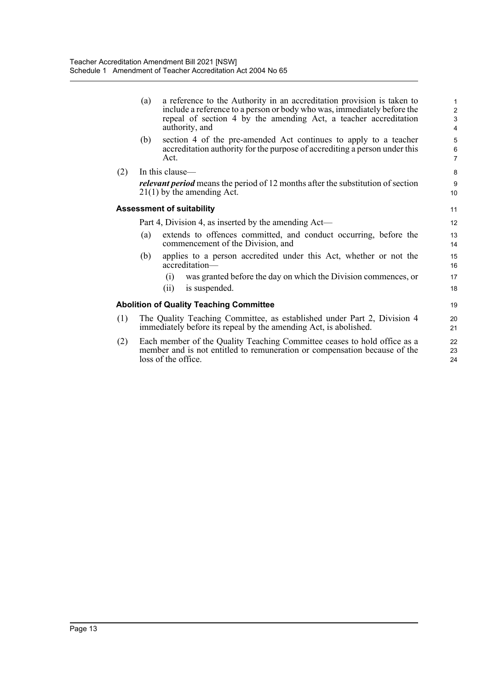|     | (a) | a reference to the Authority in an accreditation provision is taken to<br>include a reference to a person or body who was, immediately before the<br>repeal of section 4 by the amending Act, a teacher accreditation<br>authority, and | $\mathbf{1}$<br>$\overline{2}$<br>3<br>$\overline{4}$ |
|-----|-----|-----------------------------------------------------------------------------------------------------------------------------------------------------------------------------------------------------------------------------------------|-------------------------------------------------------|
|     | (b) | section 4 of the pre-amended Act continues to apply to a teacher<br>accreditation authority for the purpose of accrediting a person under this<br>Act.                                                                                  | 5<br>6<br>$\overline{7}$                              |
| (2) |     | In this clause—                                                                                                                                                                                                                         | 8                                                     |
|     |     | <i>relevant period</i> means the period of 12 months after the substitution of section<br>$21(1)$ by the amending Act.                                                                                                                  | 9<br>10                                               |
|     |     | <b>Assessment of suitability</b>                                                                                                                                                                                                        | 11                                                    |
|     |     | Part 4, Division 4, as inserted by the amending Act—                                                                                                                                                                                    | 12                                                    |
|     | (a) | extends to offences committed, and conduct occurring, before the<br>commencement of the Division, and                                                                                                                                   | 13<br>14                                              |
|     | (b) | applies to a person accredited under this Act, whether or not the<br>accreditation-                                                                                                                                                     | 15<br>16                                              |
|     |     | was granted before the day on which the Division commences, or<br>(i)                                                                                                                                                                   | 17                                                    |
|     |     | is suspended.<br>(i)                                                                                                                                                                                                                    | 18                                                    |
|     |     | <b>Abolition of Quality Teaching Committee</b>                                                                                                                                                                                          | 19                                                    |
| (1) |     | The Quality Teaching Committee, as established under Part 2, Division 4<br>immediately before its repeal by the amending Act, is abolished.                                                                                             | 20<br>21                                              |
| (2) |     | Each member of the Quality Teaching Committee ceases to hold office as a<br>member and is not entitled to remuneration or compensation because of the<br>loss of the office.                                                            | 22<br>23<br>24                                        |